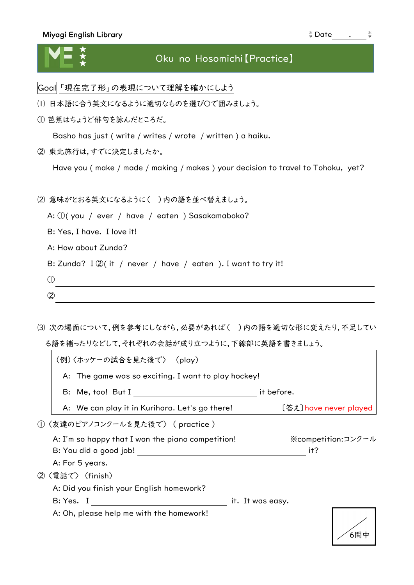## Miyagi English Library ⁑Date . ⁑

## ★ ★ ★

## Oku no Hosomichi【Practice】

- Goal 「現在完了形」の表現について理解を確かにしよう
- ⑴ 日本語に合う英文になるように適切なものを選び〇で囲みましょう。
- ① 芭蕉はちょうど俳句を詠んだところだ。

Basho has just ( write / writes / wrote / written ) a haiku.

② 東北旅行は,すでに決定しましたか。

Have you ( make / made / making / makes ) your decision to travel to Tohoku, yet?

⑵ 意味がとおる英文になるように( )内の語を並べ替えましょう。

A: ①( you / ever / have / eaten ) Sasakamaboko?

B: Yes, I have. I love it!

A: How about Zunda?

B: Zunda? I  $\mathcal{Q}(i\mathsf{t}/n\mathsf{ever}/n\mathsf{have}/\mathsf{eaten}$ ). I want to try it!

<u> 1980 - Johann Barn, mars ann an t-Amhain Aonaichte ann an t-Aonaichte ann an t-Aonaichte ann an t-Aonaichte a</u>

 $\odot$ 

- ②
- ⑶ 次の場面について,例を参考にしながら,必要があれば( )内の語を適切な形に変えたり,不足してい る語を補ったりなどして,それぞれの会話が成り立つように,下線部に英語を書きましょう。

| (例)〈ホッケーの試合を見た後で〉 (play)                            |                  |                                |
|-----------------------------------------------------|------------------|--------------------------------|
| A: The game was so exciting. I want to play hockey! |                  |                                |
| B: Me, too! But I                                   | it before.       |                                |
| A: We can play it in Kurihara. Let's go there!      |                  | [答え] have never played         |
| ①〈友達のピアノコンクールを見た後で〉 (practice)                      |                  |                                |
| A: I'm so happy that I won the piano competition!   |                  | $\mathcal X$ competition:コンクール |
| B: You did a good job!                              |                  | it?                            |
| A: For 5 years.                                     |                  |                                |
| ②〈電話で〉 (finish)                                     |                  |                                |
| A: Did you finish your English homework?            |                  |                                |
| B: Yes. I                                           | it. It was easy. |                                |
| A: Oh, please help me with the homework!            |                  |                                |